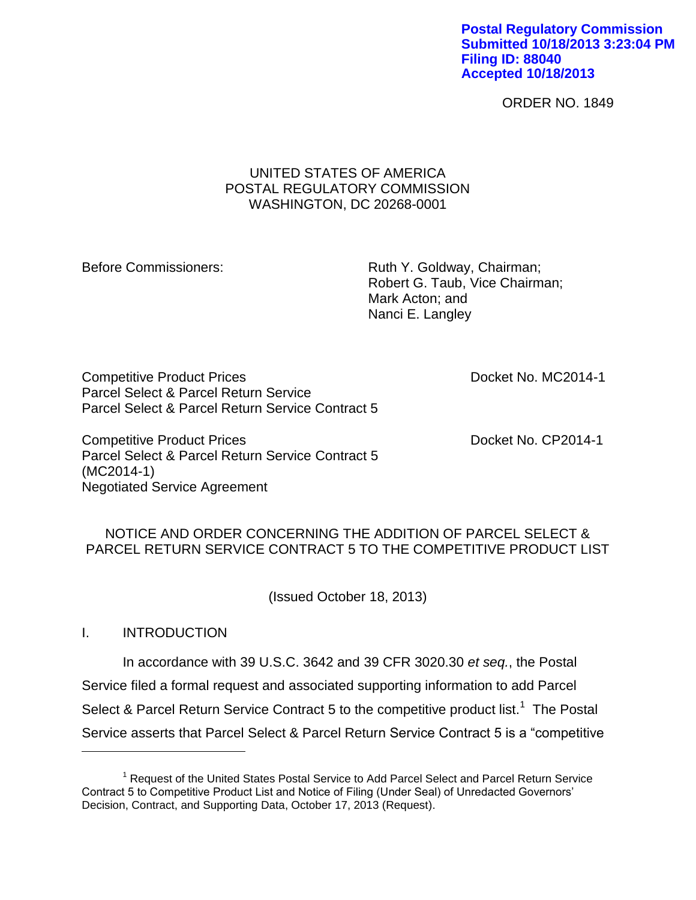#### **Postal Regulatory Commission Submitted 10/18/2013 3:23:04 PM Filing ID: 88040 Accepted 10/18/2013**

ORDER NO. 1849

### UNITED STATES OF AMERICA POSTAL REGULATORY COMMISSION WASHINGTON, DC 20268-0001

Before Commissioners: Ruth Y. Goldway, Chairman; Robert G. Taub, Vice Chairman; Mark Acton; and Nanci E. Langley

Competitive Product Prices **Docket No. MC2014-1** Parcel Select & Parcel Return Service Parcel Select & Parcel Return Service Contract 5

Competitive Product Prices **Docket No. CP2014-1** Parcel Select & Parcel Return Service Contract 5 (MC2014-1) Negotiated Service Agreement

## NOTICE AND ORDER CONCERNING THE ADDITION OF PARCEL SELECT & PARCEL RETURN SERVICE CONTRACT 5 TO THE COMPETITIVE PRODUCT LIST

(Issued October 18, 2013)

### I. INTRODUCTION

 $\overline{a}$ 

In accordance with 39 U.S.C. 3642 and 39 CFR 3020.30 *et seq.*, the Postal Service filed a formal request and associated supporting information to add Parcel Select & Parcel Return Service Contract 5 to the competitive product list.<sup>1</sup> The Postal Service asserts that Parcel Select & Parcel Return Service Contract 5 is a "competitive

<sup>&</sup>lt;sup>1</sup> Request of the United States Postal Service to Add Parcel Select and Parcel Return Service Contract 5 to Competitive Product List and Notice of Filing (Under Seal) of Unredacted Governors' Decision, Contract, and Supporting Data, October 17, 2013 (Request).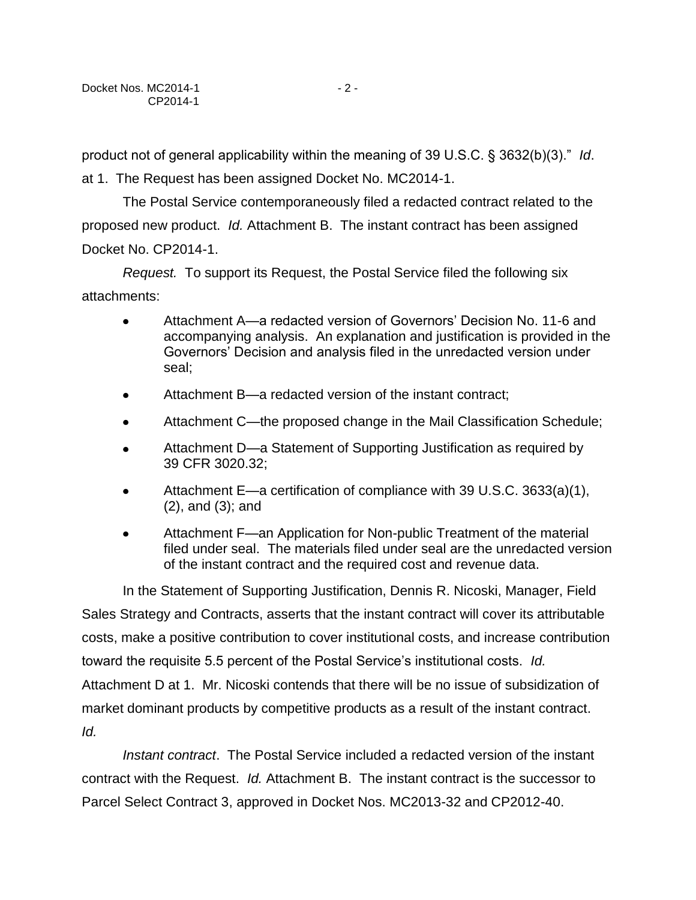product not of general applicability within the meaning of 39 U.S.C. § 3632(b)(3)." *Id*.

at 1. The Request has been assigned Docket No. MC2014-1.

The Postal Service contemporaneously filed a redacted contract related to the proposed new product. *Id.* Attachment B. The instant contract has been assigned Docket No. CP2014-1.

*Request.* To support its Request, the Postal Service filed the following six attachments:

- Attachment A—a redacted version of Governors' Decision No. 11-6 and accompanying analysis. An explanation and justification is provided in the Governors' Decision and analysis filed in the unredacted version under seal;
- Attachment B—a redacted version of the instant contract;  $\bullet$
- Attachment C—the proposed change in the Mail Classification Schedule;
- Attachment D—a Statement of Supporting Justification as required by 39 CFR 3020.32;
- Attachment E—a certification of compliance with 39 U.S.C. 3633(a)(1), (2), and (3); and
- Attachment F—an Application for Non-public Treatment of the material filed under seal. The materials filed under seal are the unredacted version of the instant contract and the required cost and revenue data.

In the Statement of Supporting Justification, Dennis R. Nicoski, Manager, Field Sales Strategy and Contracts, asserts that the instant contract will cover its attributable costs, make a positive contribution to cover institutional costs, and increase contribution toward the requisite 5.5 percent of the Postal Service's institutional costs. *Id.* Attachment D at 1. Mr. Nicoski contends that there will be no issue of subsidization of market dominant products by competitive products as a result of the instant contract. *Id.*

*Instant contract*. The Postal Service included a redacted version of the instant contract with the Request. *Id.* Attachment B. The instant contract is the successor to Parcel Select Contract 3, approved in Docket Nos. MC2013-32 and CP2012-40.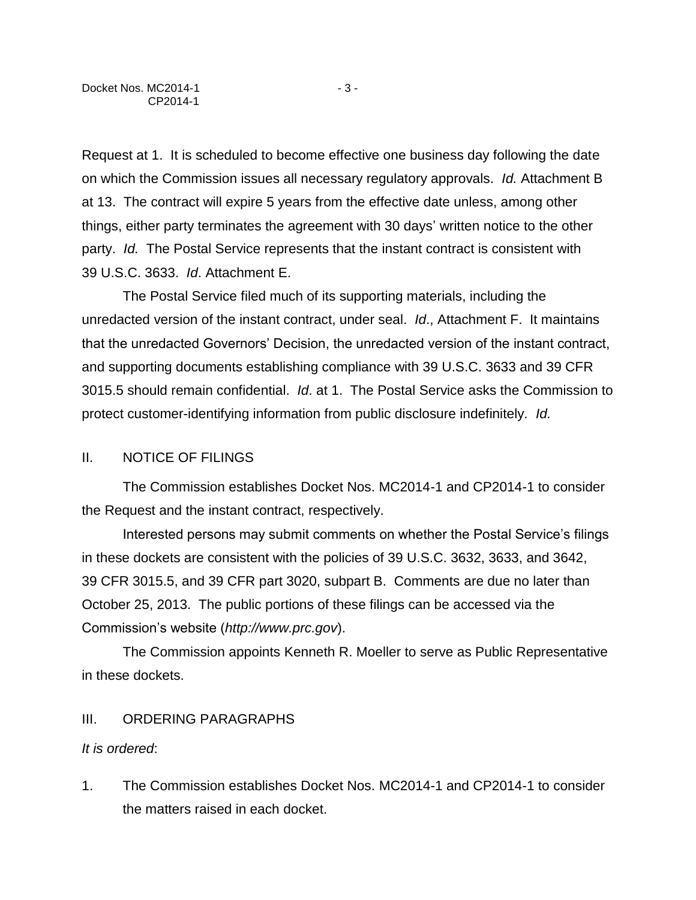Request at 1. It is scheduled to become effective one business day following the date on which the Commission issues all necessary regulatory approvals. *Id.* Attachment B at 13. The contract will expire 5 years from the effective date unless, among other things, either party terminates the agreement with 30 days' written notice to the other party. *Id.* The Postal Service represents that the instant contract is consistent with 39 U.S.C. 3633. *Id*. Attachment E.

The Postal Service filed much of its supporting materials, including the unredacted version of the instant contract, under seal. *Id*., Attachment F. It maintains that the unredacted Governors' Decision, the unredacted version of the instant contract, and supporting documents establishing compliance with 39 U.S.C. 3633 and 39 CFR 3015.5 should remain confidential. *Id*. at 1. The Postal Service asks the Commission to protect customer-identifying information from public disclosure indefinitely. *Id.*

# II. NOTICE OF FILINGS

The Commission establishes Docket Nos. MC2014-1 and CP2014-1 to consider the Request and the instant contract, respectively.

Interested persons may submit comments on whether the Postal Service's filings in these dockets are consistent with the policies of 39 U.S.C. 3632, 3633, and 3642, 39 CFR 3015.5, and 39 CFR part 3020, subpart B. Comments are due no later than October 25, 2013. The public portions of these filings can be accessed via the Commission's website (*http://www.prc.gov*).

The Commission appoints Kenneth R. Moeller to serve as Public Representative in these dockets.

### III. ORDERING PARAGRAPHS

### *It is ordered*:

1. The Commission establishes Docket Nos. MC2014-1 and CP2014-1 to consider the matters raised in each docket.